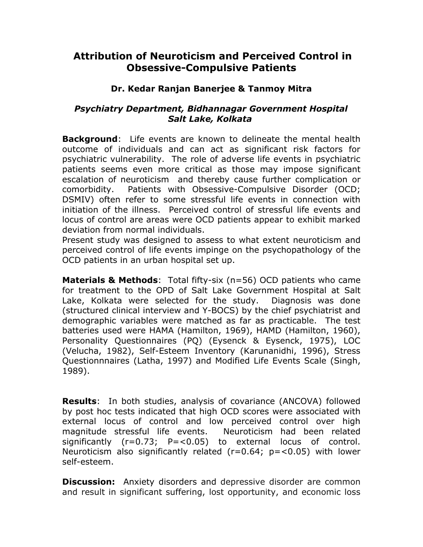## **Attribution of Neuroticism and Perceived Control in Obsessive-Compulsive Patients**

## **Dr. Kedar Ranjan Banerjee & Tanmoy Mitra**

## *Psychiatry Department, Bidhannagar Government Hospital Salt Lake, Kolkata*

**Background**: Life events are known to delineate the mental health outcome of individuals and can act as significant risk factors for psychiatric vulnerability. The role of adverse life events in psychiatric patients seems even more critical as those may impose significant escalation of neuroticism and thereby cause further complication or comorbidity. Patients with Obsessive-Compulsive Disorder (OCD; DSMIV) often refer to some stressful life events in connection with initiation of the illness. Perceived control of stressful life events and locus of control are areas were OCD patients appear to exhibit marked deviation from normal individuals.

Present study was designed to assess to what extent neuroticism and perceived control of life events impinge on the psychopathology of the OCD patients in an urban hospital set up.

**Materials & Methods**: Total fifty-six (n=56) OCD patients who came for treatment to the OPD of Salt Lake Government Hospital at Salt Lake, Kolkata were selected for the study. Diagnosis was done (structured clinical interview and Y-BOCS) by the chief psychiatrist and demographic variables were matched as far as practicable. The test batteries used were HAMA (Hamilton, 1969), HAMD (Hamilton, 1960), Personality Questionnaires (PQ) (Eysenck & Eysenck, 1975), LOC (Velucha, 1982), Self-Esteem Inventory (Karunanidhi, 1996), Stress Questionnnaires (Latha, 1997) and Modified Life Events Scale (Singh, 1989).

**Results**: In both studies, analysis of covariance (ANCOVA) followed by post hoc tests indicated that high OCD scores were associated with external locus of control and low perceived control over high magnitude stressful life events. Neuroticism had been related significantly  $(r=0.73; P=<0.05)$  to external locus of control. Neuroticism also significantly related ( $r=0.64$ ;  $p=<0.05$ ) with lower self-esteem.

**Discussion:** Anxiety disorders and depressive disorder are common and result in significant suffering, lost opportunity, and economic loss